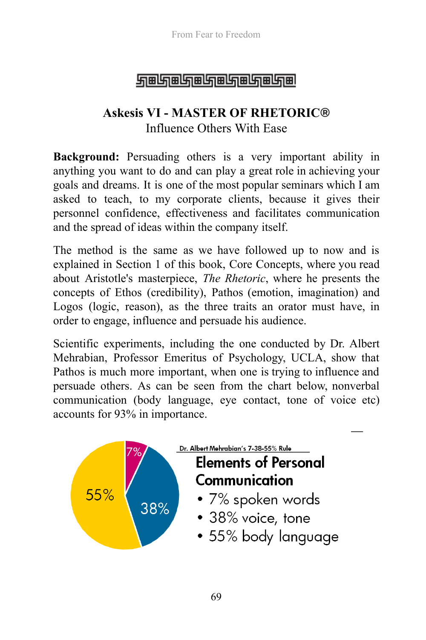### <u> STEIGIEN EINER EINER EINER FI</u>

# **Askesis VI - MASTER OF RHETORIC®**  Influence Others With Ease

**Background:** Persuading others is a very important ability in anything you want to do and can play a great role in achieving your goals and dreams. It is one of the most popular seminars which I am asked to teach, to my corporate clients, because it gives their personnel confidence, effectiveness and facilitates communication and the spread of ideas within the company itself.

The method is the same as we have followed up to now and is explained in Section 1 of this book, Core Concepts, where you read about Aristotle's masterpiece, *The Rhetoric*, where he presents the concepts of Ethos (credibility), Pathos (emotion, imagination) and Logos (logic, reason), as the three traits an orator must have, in order to engage, influence and persuade his audience.

Scientific experiments, including the one conducted by Dr. Albert Mehrabian, Professor Emeritus of Psychology, UCLA, show that Pathos is much more important, when one is trying to influence and persuade others. As can be seen from the chart below, nonverbal communication (body language, eye contact, tone of voice etc) accounts for 93% in importance.

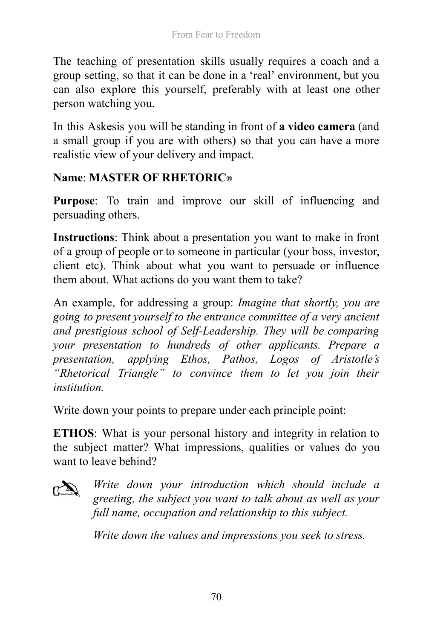The teaching of presentation skills usually requires a coach and a group setting, so that it can be done in a 'real' environment, but you can also explore this yourself, preferably with at least one other person watching you.

In this Askesis you will be standing in front of **a video camera** (and a small group if you are with others) so that you can have a more realistic view of your delivery and impact.

#### **Name** : **MASTER OF RHETORIC ®**

Purpose: To train and improve our skill of influencing and persuading others.

**Instructions**: Think about a presentation you want to make in front of a group of people or to someone in particular (your boss, investor, client etc). Think about what you want to persuade or influence them about. What actions do you want them to take?

An example, for addressing a group: *Imagine that shortly, you are going to present yourself to the entrance committee of a very ancient and prestigious school of Self-Leadership. They will be comparing your presentation to hundreds of other applicants. Prepare a presentation, applying Ethos, Pathos, Logos of Aristotle's "Rhetorical Triangle" to convince them to let you join their institution.* 

Write down your points to prepare under each principle point:

**ETHOS**: What is your personal history and integrity in relation to the subject matter? What impressions, qualities or values do you want to leave behind?



*Write down your introduction which should include a greeting, the subject you want to talk about as well as your full name, occupation and relationship to this subject.* 

*Write down the values and impressions you seek to stress.*